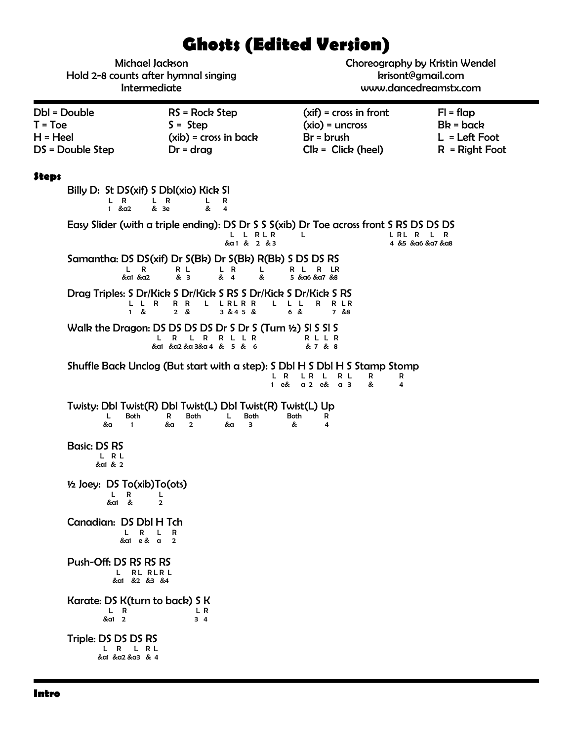# **Ghosts (Edited Version)**

| Michael Jackson<br>Hold 2-8 counts after hymnal singing<br>Intermediate |                                                                                                                                        | Choreography by Kristin Wendel<br>krisont@gmail.com<br>www.dancedreamstx.com                                                               |                                                                   |
|-------------------------------------------------------------------------|----------------------------------------------------------------------------------------------------------------------------------------|--------------------------------------------------------------------------------------------------------------------------------------------|-------------------------------------------------------------------|
| Dbl = Double<br>$T = Toe$<br>H = Heel<br>DS = Double Step               | $RS = Rock Step$<br>$S =$ Step<br>$(xib)$ = cross in back<br>$Dr = drag$                                                               | $(xif) = cross in front$<br>$(xio) = uncross$<br>$Br = brush$<br>$Clk = Click (heel)$                                                      | $FI = flap$<br>$Bk = back$<br>$L = Left Foot$<br>$R = Right Foot$ |
| Steps<br>L R<br>1 $&a2$                                                 | Billy D: St DS(xif) S Dbl(xio) Kick SI<br>L R<br>L,<br>R<br>&<br>& 3e<br>$\overline{4}$                                                |                                                                                                                                            |                                                                   |
|                                                                         | L L RLR<br>&a1 & 2 & 3                                                                                                                 | Easy Slider (with a triple ending): DS Dr S S S(xib) Dr Toe across front S RS DS DS DS<br>LRL R<br>L                                       | L R<br>4 &5 & α6 & α7 & α8                                        |
| L R<br>&a1 &a2                                                          | Samantha: DS DS(xif) Dr S(Bk) Dr S(Bk) R(Bk) S DS DS RS<br>R L<br>L R<br>L.<br>& 3<br>& 4<br>&                                         | R L R LR<br>5 & α6 & α7 & 8                                                                                                                |                                                                   |
| L L R<br>&<br>$\mathbf{1}$                                              | Drag Triples: S Dr/Kick S Dr/Kick S RS S Dr/Kick S Dr/Kick S RS<br>R R<br>L LRLRR<br>2 & 8<br>3 & 4 5 &                                | L L L<br>R LR<br>R<br>6 &<br>7 &8                                                                                                          |                                                                   |
|                                                                         | Walk the Dragon: DS DS DS DS Dr S Dr S (Turn ½) SI S SI S<br>L R<br>L R R L L R<br>&α1 &α2 &α 3&α 4 & 5 & 6                            | RLLR<br>& 7 & 8                                                                                                                            |                                                                   |
|                                                                         | $\mathbf{1}$                                                                                                                           | Shuffle Back Unclog (But start with a step): S DbI H S DbI H S Stamp Stomp<br>L R<br>LR L<br>R L<br>R<br>R<br>&<br>$a2$ e& $a3$<br>e&<br>4 |                                                                   |
| L<br>Both<br>&a<br>$\mathbf{1}$                                         | Twisty: DbI Twist(R) DbI Twist(L) DbI Twist(R) Twist(L) Up<br>R<br><b>Both</b><br>L.<br><b>Both</b><br>&a<br>$\overline{2}$<br>&a<br>3 | <b>Both</b><br>R<br>&<br>4                                                                                                                 |                                                                   |
| <b>Basic: DS RS</b><br>L R L<br>&a1 & 2                                 |                                                                                                                                        |                                                                                                                                            |                                                                   |
| 1/2 Joey: DS To(xib)To(ots)<br>R<br>L.<br>&a1 &                         | L<br>$\overline{2}$                                                                                                                    |                                                                                                                                            |                                                                   |
| Canadian: DS Dbl H Tch<br>L.<br>R<br>&a1 e& a                           | R<br>L<br>$\overline{2}$                                                                                                               |                                                                                                                                            |                                                                   |
| Push-Off: DS RS RS RS<br>L RL RLR L<br>&a1 &2 &3 &4                     |                                                                                                                                        |                                                                                                                                            |                                                                   |
| Karate: DS K(turn to back) S K<br>L R<br>&a1 2                          | L R<br>34                                                                                                                              |                                                                                                                                            |                                                                   |
| Triple: DS DS DS RS<br>L R L R L<br>&a1 &a2 &a3 & 4                     |                                                                                                                                        |                                                                                                                                            |                                                                   |